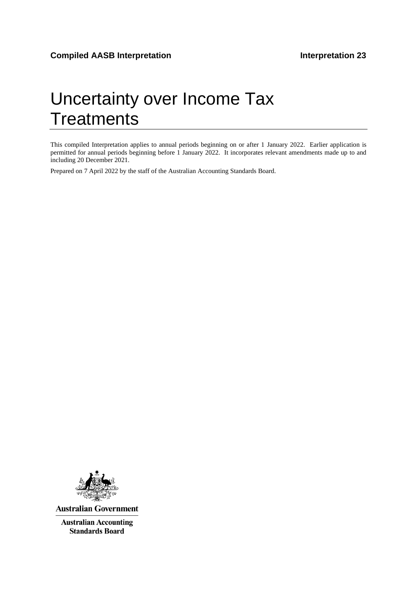# Uncertainty over Income Tax **Treatments**

This compiled Interpretation applies to annual periods beginning on or after 1 January 2022. Earlier application is permitted for annual periods beginning before 1 January 2022. It incorporates relevant amendments made up to and including 20 December 2021.

Prepared on 7 April 2022 by the staff of the Australian Accounting Standards Board.



**Australian Government** 

**Australian Accounting Standards Board**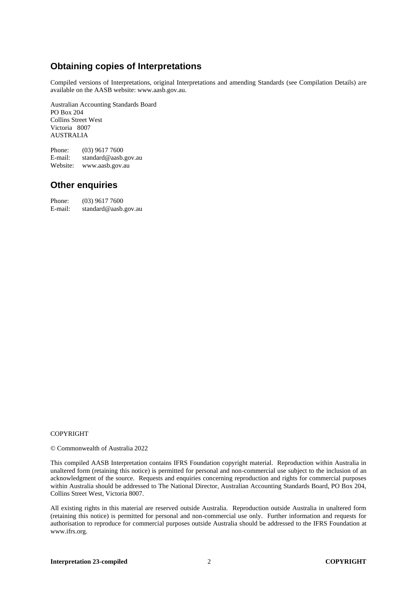# **Obtaining copies of Interpretations**

Compiled versions of Interpretations, original Interpretations and amending Standards (see Compilation Details) are available on the AASB website: www.aasb.gov.au.

Australian Accounting Standards Board PO Box 204 Collins Street West Victoria 8007 AUSTRALIA

Phone:  $(03)$  9617 7600<br>E-mail: standard@aasb. standard@aasb.gov.au Website: www.aasb.gov.au

#### **Other enquiries**

| Phone:  | $(03)$ 9617 7600     |
|---------|----------------------|
| E-mail: | standard@aasb.gov.au |

#### COPYRIGHT

© Commonwealth of Australia 2022

This compiled AASB Interpretation contains IFRS Foundation copyright material. Reproduction within Australia in unaltered form (retaining this notice) is permitted for personal and non-commercial use subject to the inclusion of an acknowledgment of the source. Requests and enquiries concerning reproduction and rights for commercial purposes within Australia should be addressed to The National Director, Australian Accounting Standards Board, PO Box 204, Collins Street West, Victoria 8007.

All existing rights in this material are reserved outside Australia. Reproduction outside Australia in unaltered form (retaining this notice) is permitted for personal and non-commercial use only. Further information and requests for authorisation to reproduce for commercial purposes outside Australia should be addressed to the IFRS Foundation at www.ifrs.org.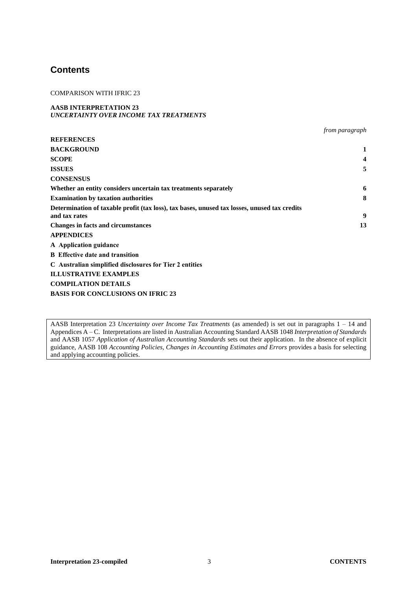#### **Contents**

#### COMPARISON WITH IFRIC 23

#### **AASB INTERPRETATION 23** *UNCERTAINTY OVER INCOME TAX TREATMENTS*

*from paragraph*

| <b>REFERENCES</b>                                                                                             |                  |
|---------------------------------------------------------------------------------------------------------------|------------------|
| <b>BACKGROUND</b>                                                                                             | 1                |
| <b>SCOPE</b>                                                                                                  | $\boldsymbol{4}$ |
| <b>ISSUES</b>                                                                                                 | 5                |
| <b>CONSENSUS</b>                                                                                              |                  |
| Whether an entity considers uncertain tax treatments separately                                               | 6                |
| <b>Examination by taxation authorities</b>                                                                    | 8                |
| Determination of taxable profit (tax loss), tax bases, unused tax losses, unused tax credits<br>and tax rates | 9                |
| <b>Changes in facts and circumstances</b><br><b>APPENDICES</b>                                                | 13               |
| A Application guidance                                                                                        |                  |
| <b>B</b> Effective date and transition                                                                        |                  |
| C Australian simplified disclosures for Tier 2 entities                                                       |                  |
| <b>ILLUSTRATIVE EXAMPLES</b>                                                                                  |                  |
| <b>COMPILATION DETAILS</b>                                                                                    |                  |
| <b>BASIS FOR CONCLUSIONS ON IFRIC 23</b>                                                                      |                  |

AASB Interpretation 23 *Uncertainty over Income Tax Treatments* (as amended) is set out in paragraphs 1 – 14 and Appendices A – C. Interpretations are listed in Australian Accounting Standard AASB 1048 *Interpretation of Standards* and AASB 1057 *Application of Australian Accounting Standards* sets out their application. In the absence of explicit guidance, AASB 108 *Accounting Policies, Changes in Accounting Estimates and Errors* provides a basis for selecting and applying accounting policies.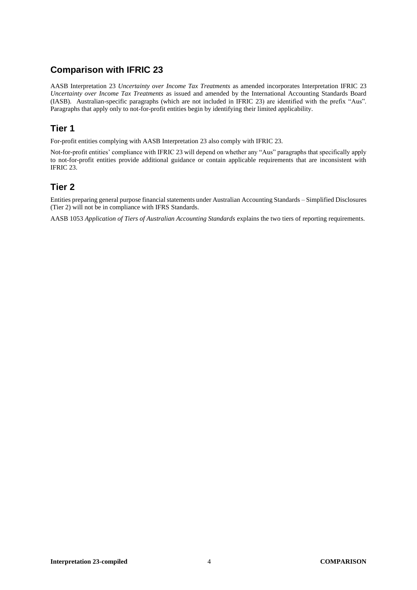# **Comparison with IFRIC 23**

AASB Interpretation 23 *Uncertainty over Income Tax Treatments* as amended incorporates Interpretation IFRIC 23 *Uncertainty over Income Tax Treatments* as issued and amended by the International Accounting Standards Board (IASB). Australian-specific paragraphs (which are not included in IFRIC 23) are identified with the prefix "Aus". Paragraphs that apply only to not-for-profit entities begin by identifying their limited applicability.

#### **Tier 1**

For-profit entities complying with AASB Interpretation 23 also comply with IFRIC 23.

Not-for-profit entities' compliance with IFRIC 23 will depend on whether any "Aus" paragraphs that specifically apply to not-for-profit entities provide additional guidance or contain applicable requirements that are inconsistent with IFRIC 23.

# **Tier 2**

Entities preparing general purpose financial statements under Australian Accounting Standards – Simplified Disclosures (Tier 2) will not be in compliance with IFRS Standards.

AASB 1053 *Application of Tiers of Australian Accounting Standards* explains the two tiers of reporting requirements.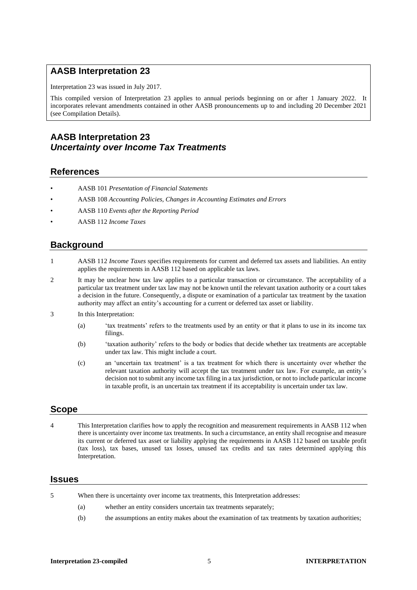#### **AASB Interpretation 23**

Interpretation 23 was issued in July 2017.

This compiled version of Interpretation 23 applies to annual periods beginning on or after 1 January 2022. It incorporates relevant amendments contained in other AASB pronouncements up to and including 20 December 2021 (see Compilation Details).

# **AASB Interpretation 23** *Uncertainty over Income Tax Treatments*

#### **References**

- AASB 101 *Presentation of Financial Statements*
- AASB 108 *Accounting Policies, Changes in Accounting Estimates and Errors*
- AASB 110 *Events after the Reporting Period*
- AASB 112 *Income Taxes*

#### **Background**

- 1 AASB 112 *Income Taxes* specifies requirements for current and deferred tax assets and liabilities. An entity applies the requirements in AASB 112 based on applicable tax laws.
- 2 It may be unclear how tax law applies to a particular transaction or circumstance. The acceptability of a particular tax treatment under tax law may not be known until the relevant taxation authority or a court takes a decision in the future. Consequently, a dispute or examination of a particular tax treatment by the taxation authority may affect an entity's accounting for a current or deferred tax asset or liability.
- 3 In this Interpretation:
	- (a) 'tax treatments' refers to the treatments used by an entity or that it plans to use in its income tax filings.
	- (b) 'taxation authority' refers to the body or bodies that decide whether tax treatments are acceptable under tax law. This might include a court.
	- (c) an 'uncertain tax treatment' is a tax treatment for which there is uncertainty over whether the relevant taxation authority will accept the tax treatment under tax law. For example, an entity's decision not to submit any income tax filing in a tax jurisdiction, or not to include particular income in taxable profit, is an uncertain tax treatment if its acceptability is uncertain under tax law.

#### **Scope**

4 This Interpretation clarifies how to apply the recognition and measurement requirements in AASB 112 when there is uncertainty over income tax treatments. In such a circumstance, an entity shall recognise and measure its current or deferred tax asset or liability applying the requirements in AASB 112 based on taxable profit (tax loss), tax bases, unused tax losses, unused tax credits and tax rates determined applying this Interpretation.

#### **Issues**

5 When there is uncertainty over income tax treatments, this Interpretation addresses:

- (a) whether an entity considers uncertain tax treatments separately;
- (b) the assumptions an entity makes about the examination of tax treatments by taxation authorities;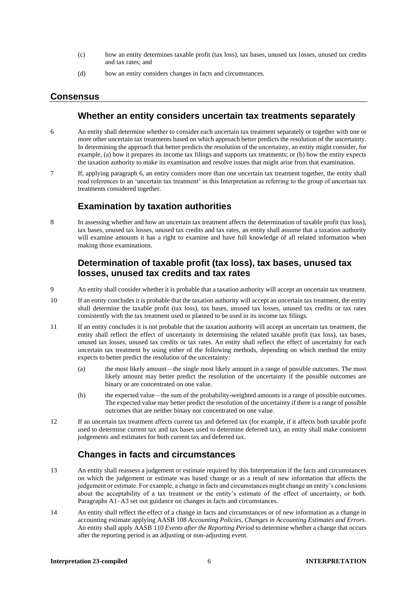- (c) how an entity determines taxable profit (tax loss), tax bases, unused tax losses, unused tax credits and tax rates; and
- (d) how an entity considers changes in facts and circumstances.

#### **Consensus**

#### **Whether an entity considers uncertain tax treatments separately**

- 6 An entity shall determine whether to consider each uncertain tax treatment separately or together with one or more other uncertain tax treatments based on which approach better predicts the resolution of the uncertainty. In determining the approach that better predicts the resolution of the uncertainty, an entity might consider, for example, (a) how it prepares its income tax filings and supports tax treatments; or (b) how the entity expects the taxation authority to make its examination and resolve issues that might arise from that examination.
- 7 If, applying paragraph 6, an entity considers more than one uncertain tax treatment together, the entity shall read references to an 'uncertain tax treatment' in this Interpretation as referring to the group of uncertain tax treatments considered together.

#### **Examination by taxation authorities**

8 In assessing whether and how an uncertain tax treatment affects the determination of taxable profit (tax loss), tax bases, unused tax losses, unused tax credits and tax rates, an entity shall assume that a taxation authority will examine amounts it has a right to examine and have full knowledge of all related information when making those examinations.

#### **Determination of taxable profit (tax loss), tax bases, unused tax losses, unused tax credits and tax rates**

- 9 An entity shall consider whether it is probable that a taxation authority will accept an uncertain tax treatment.
- 10 If an entity concludes it is probable that the taxation authority will accept an uncertain tax treatment, the entity shall determine the taxable profit (tax loss), tax bases, unused tax losses, unused tax credits or tax rates consistently with the tax treatment used or planned to be used in its income tax filings.
- 11 If an entity concludes it is not probable that the taxation authority will accept an uncertain tax treatment, the entity shall reflect the effect of uncertainty in determining the related taxable profit (tax loss), tax bases, unused tax losses, unused tax credits or tax rates. An entity shall reflect the effect of uncertainty for each uncertain tax treatment by using either of the following methods, depending on which method the entity expects to better predict the resolution of the uncertainty:
	- (a) the most likely amount—the single most likely amount in a range of possible outcomes. The most likely amount may better predict the resolution of the uncertainty if the possible outcomes are binary or are concentrated on one value.
	- (b) the expected value—the sum of the probability-weighted amounts in a range of possible outcomes. The expected value may better predict the resolution of the uncertainty if there is a range of possible outcomes that are neither binary nor concentrated on one value.
- 12 If an uncertain tax treatment affects current tax and deferred tax (for example, if it affects both taxable profit used to determine current tax and tax bases used to determine deferred tax), an entity shall make consistent judgements and estimates for both current tax and deferred tax.

#### **Changes in facts and circumstances**

- 13 An entity shall reassess a judgement or estimate required by this Interpretation if the facts and circumstances on which the judgement or estimate was based change or as a result of new information that affects the judgement or estimate. For example, a change in facts and circumstances might change an entity's conclusions about the acceptability of a tax treatment or the entity's estimate of the effect of uncertainty, or both. Paragraphs A1–A3 set out guidance on changes in facts and circumstances.
- 14 An entity shall reflect the effect of a change in facts and circumstances or of new information as a change in accounting estimate applying AASB 108 *Accounting Policies, Changes in Accounting Estimates and Errors*. An entity shall apply AASB 110 *Events after the Reporting Period* to determine whether a change that occurs after the reporting period is an adjusting or non-adjusting event.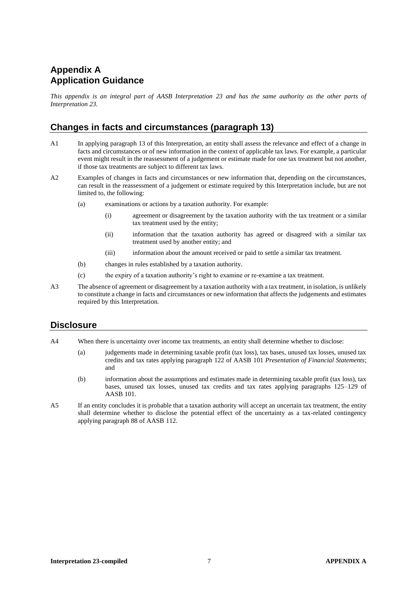# **Appendix A Application Guidance**

*This appendix is an integral part of AASB Interpretation 23 and has the same authority as the other parts of Interpretation 23.*

#### **Changes in facts and circumstances (paragraph 13)**

- A1 In applying paragraph 13 of this Interpretation, an entity shall assess the relevance and effect of a change in facts and circumstances or of new information in the context of applicable tax laws. For example, a particular event might result in the reassessment of a judgement or estimate made for one tax treatment but not another, if those tax treatments are subject to different tax laws.
- A2 Examples of changes in facts and circumstances or new information that, depending on the circumstances, can result in the reassessment of a judgement or estimate required by this Interpretation include, but are not limited to, the following:
	- (a) examinations or actions by a taxation authority. For example:
		- (i) agreement or disagreement by the taxation authority with the tax treatment or a similar tax treatment used by the entity;
		- (ii) information that the taxation authority has agreed or disagreed with a similar tax treatment used by another entity; and
		- (iii) information about the amount received or paid to settle a similar tax treatment.
	- (b) changes in rules established by a taxation authority.
	- (c) the expiry of a taxation authority's right to examine or re-examine a tax treatment.
- A3 The absence of agreement or disagreement by a taxation authority with a tax treatment, in isolation, is unlikely to constitute a change in facts and circumstances or new information that affects the judgements and estimates required by this Interpretation.

#### **Disclosure**

- A4 When there is uncertainty over income tax treatments, an entity shall determine whether to disclose:
	- (a) judgements made in determining taxable profit (tax loss), tax bases, unused tax losses, unused tax credits and tax rates applying paragraph 122 of AASB 101 *Presentation of Financial Statements*; and
	- (b) information about the assumptions and estimates made in determining taxable profit (tax loss), tax bases, unused tax losses, unused tax credits and tax rates applying paragraphs 125–129 of AASB 101.
- A5 If an entity concludes it is probable that a taxation authority will accept an uncertain tax treatment, the entity shall determine whether to disclose the potential effect of the uncertainty as a tax-related contingency applying paragraph 88 of AASB 112.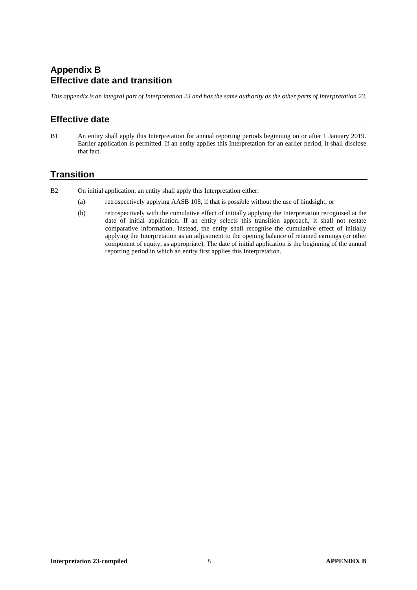# **Appendix B Effective date and transition**

*This appendix is an integral part of Interpretation 23 and has the same authority as the other parts of Interpretation 23.*

#### **Effective date**

B1 An entity shall apply this Interpretation for annual reporting periods beginning on or after 1 January 2019. Earlier application is permitted. If an entity applies this Interpretation for an earlier period, it shall disclose that fact.

#### **Transition**

B2 On initial application, an entity shall apply this Interpretation either:

- (a) retrospectively applying AASB 108, if that is possible without the use of hindsight; or
- (b) retrospectively with the cumulative effect of initially applying the Interpretation recognised at the date of initial application. If an entity selects this transition approach, it shall not restate comparative information. Instead, the entity shall recognise the cumulative effect of initially applying the Interpretation as an adjustment to the opening balance of retained earnings (or other component of equity, as appropriate). The date of initial application is the beginning of the annual reporting period in which an entity first applies this Interpretation.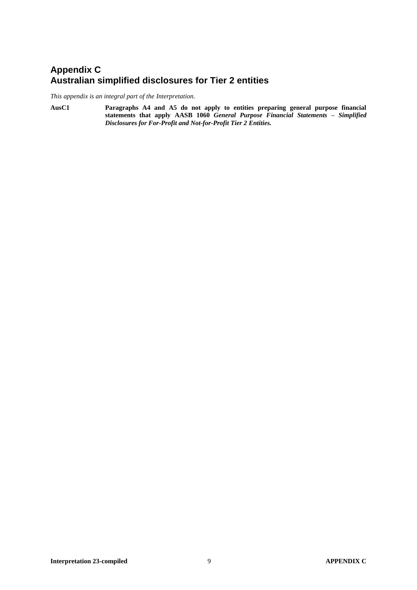# **Appendix C Australian simplified disclosures for Tier 2 entities**

*This appendix is an integral part of the Interpretation.*

**AusC1 Paragraphs A4 and A5 do not apply to entities preparing general purpose financial statements that apply AASB 1060** *General Purpose Financial Statements – Simplified Disclosures for For-Profit and Not-for-Profit Tier 2 Entities.*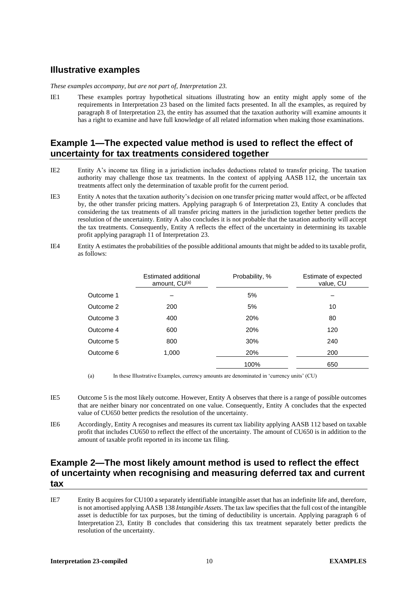#### **Illustrative examples**

*These examples accompany, but are not part of, Interpretation 23.*

IE1 These examples portray hypothetical situations illustrating how an entity might apply some of the requirements in Interpretation 23 based on the limited facts presented. In all the examples, as required by paragraph 8 of Interpretation 23, the entity has assumed that the taxation authority will examine amounts it has a right to examine and have full knowledge of all related information when making those examinations.

#### **Example 1—The expected value method is used to reflect the effect of uncertainty for tax treatments considered together**

- IE2 Entity A's income tax filing in a jurisdiction includes deductions related to transfer pricing. The taxation authority may challenge those tax treatments. In the context of applying AASB 112, the uncertain tax treatments affect only the determination of taxable profit for the current period.
- IE3 Entity A notes that the taxation authority's decision on one transfer pricing matter would affect, or be affected by, the other transfer pricing matters. Applying paragraph 6 of Interpretation 23, Entity A concludes that considering the tax treatments of all transfer pricing matters in the jurisdiction together better predicts the resolution of the uncertainty. Entity A also concludes it is not probable that the taxation authority will accept the tax treatments. Consequently, Entity A reflects the effect of the uncertainty in determining its taxable profit applying paragraph 11 of Interpretation 23.
- IE4 Entity A estimates the probabilities of the possible additional amounts that might be added to its taxable profit, as follows:

|           | Estimated additional<br>amount, CU(a) | Probability, % | Estimate of expected<br>value, CU |
|-----------|---------------------------------------|----------------|-----------------------------------|
| Outcome 1 |                                       | 5%             |                                   |
| Outcome 2 | 200                                   | 5%             | 10                                |
| Outcome 3 | 400                                   | 20%            | 80                                |
| Outcome 4 | 600                                   | 20%            | 120                               |
| Outcome 5 | 800                                   | 30%            | 240                               |
| Outcome 6 | 1,000                                 | 20%            | 200                               |
|           |                                       | 100%           | 650                               |

(a) In these Illustrative Examples, currency amounts are denominated in 'currency units' (CU)

- IE5 Outcome 5 is the most likely outcome. However, Entity A observes that there is a range of possible outcomes that are neither binary nor concentrated on one value. Consequently, Entity A concludes that the expected value of CU650 better predicts the resolution of the uncertainty.
- IE6 Accordingly, Entity A recognises and measures its current tax liability applying AASB 112 based on taxable profit that includes CU650 to reflect the effect of the uncertainty. The amount of CU650 is in addition to the amount of taxable profit reported in its income tax filing.

#### **Example 2—The most likely amount method is used to reflect the effect of uncertainty when recognising and measuring deferred tax and current tax**

IE7 Entity B acquires for CU100 a separately identifiable intangible asset that has an indefinite life and, therefore, is not amortised applying AASB 138 *Intangible Assets*. The tax law specifies that the full cost of the intangible asset is deductible for tax purposes, but the timing of deductibility is uncertain. Applying paragraph 6 of Interpretation 23, Entity B concludes that considering this tax treatment separately better predicts the resolution of the uncertainty.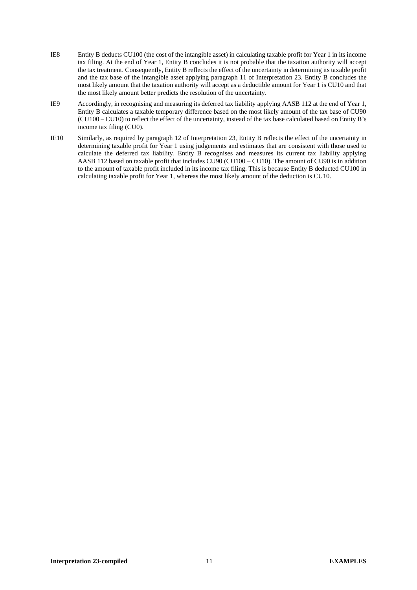- IE8 Entity B deducts CU100 (the cost of the intangible asset) in calculating taxable profit for Year 1 in its income tax filing. At the end of Year 1, Entity B concludes it is not probable that the taxation authority will accept the tax treatment. Consequently, Entity B reflects the effect of the uncertainty in determining its taxable profit and the tax base of the intangible asset applying paragraph 11 of Interpretation 23. Entity B concludes the most likely amount that the taxation authority will accept as a deductible amount for Year 1 is CU10 and that the most likely amount better predicts the resolution of the uncertainty.
- IE9 Accordingly, in recognising and measuring its deferred tax liability applying AASB 112 at the end of Year 1, Entity B calculates a taxable temporary difference based on the most likely amount of the tax base of CU90 (CU100 – CU10) to reflect the effect of the uncertainty, instead of the tax base calculated based on Entity B's income tax filing (CU0).
- IE10 Similarly, as required by paragraph 12 of Interpretation 23, Entity B reflects the effect of the uncertainty in determining taxable profit for Year 1 using judgements and estimates that are consistent with those used to calculate the deferred tax liability. Entity B recognises and measures its current tax liability applying AASB 112 based on taxable profit that includes CU90 (CU100 – CU10). The amount of CU90 is in addition to the amount of taxable profit included in its income tax filing. This is because Entity B deducted CU100 in calculating taxable profit for Year 1, whereas the most likely amount of the deduction is CU10.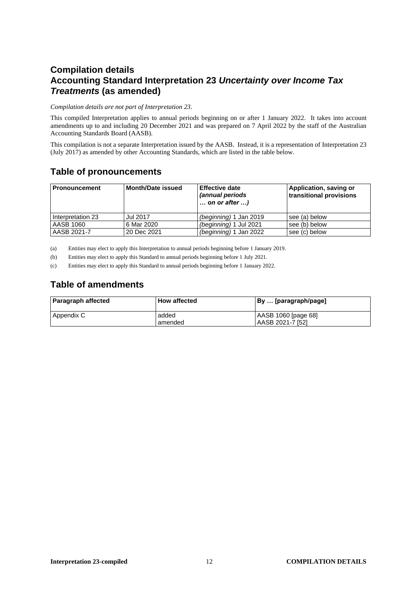# **Compilation details Accounting Standard Interpretation 23** *Uncertainty over Income Tax Treatments* **(as amended)**

#### *Compilation details are not part of Interpretation 23.*

This compiled Interpretation applies to annual periods beginning on or after 1 January 2022. It takes into account amendments up to and including 20 December 2021 and was prepared on 7 April 2022 by the staff of the Australian Accounting Standards Board (AASB).

This compilation is not a separate Interpretation issued by the AASB. Instead, it is a representation of Interpretation 23 (July 2017) as amended by other Accounting Standards, which are listed in the table below.

# **Table of pronouncements**

| <b>Pronouncement</b> | <b>Month/Date issued</b> | <b>Effective date</b><br>(annual periods<br>$\ldots$ on or after $\ldots$ ) | Application, saving or<br>transitional provisions |
|----------------------|--------------------------|-----------------------------------------------------------------------------|---------------------------------------------------|
| Interpretation 23    | Jul 2017                 | (beginning) 1 Jan 2019                                                      | see (a) below                                     |
| AASB 1060            | 6 Mar 2020               | (beginning) 1 Jul 2021                                                      | see (b) below                                     |
| AASB 2021-7          | 20 Dec 2021              | (beginning) 1 Jan 2022                                                      | see (c) below                                     |

(a) Entities may elect to apply this Interpretation to annual periods beginning before 1 January 2019.

(b) Entities may elect to apply this Standard to annual periods beginning before 1 July 2021.

(c) Entities may elect to apply this Standard to annual periods beginning before 1 January 2022.

# **Table of amendments**

| <b>Paragraph affected</b> | <b>How affected</b> | By  [paragraph/page]                      |
|---------------------------|---------------------|-------------------------------------------|
| Appendix C                | added<br>amended    | AASB 1060 [page 68]<br>  AASB 2021-7 [52] |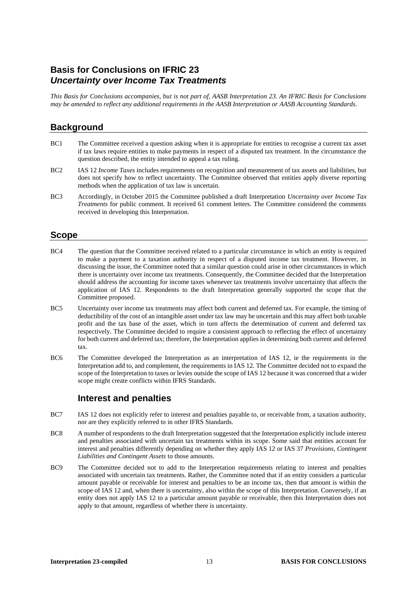#### **Basis for Conclusions on IFRIC 23**  *Uncertainty over Income Tax Treatments*

*This Basis for Conclusions accompanies, but is not part of, AASB Interpretation 23. An IFRIC Basis for Conclusions may be amended to reflect any additional requirements in the AASB Interpretation or AASB Accounting Standards.*

#### **Background**

- BC1 The Committee received a question asking when it is appropriate for entities to recognise a current tax asset if tax laws require entities to make payments in respect of a disputed tax treatment. In the circumstance the question described, the entity intended to appeal a tax ruling.
- BC2 IAS 12 *Income Taxes* includes requirements on recognition and measurement of tax assets and liabilities, but does not specify how to reflect uncertainty. The Committee observed that entities apply diverse reporting methods when the application of tax law is uncertain.
- BC3 Accordingly, in October 2015 the Committee published a draft Interpretation *Uncertainty over Income Tax Treatments* for public comment. It received 61 comment letters. The Committee considered the comments received in developing this Interpretation.

#### **Scope**

- BC4 The question that the Committee received related to a particular circumstance in which an entity is required to make a payment to a taxation authority in respect of a disputed income tax treatment. However, in discussing the issue, the Committee noted that a similar question could arise in other circumstances in which there is uncertainty over income tax treatments. Consequently, the Committee decided that the Interpretation should address the accounting for income taxes whenever tax treatments involve uncertainty that affects the application of IAS 12. Respondents to the draft Interpretation generally supported the scope that the Committee proposed.
- BC5 Uncertainty over income tax treatments may affect both current and deferred tax. For example, the timing of deductibility of the cost of an intangible asset under tax law may be uncertain and this may affect both taxable profit and the tax base of the asset, which in turn affects the determination of current and deferred tax respectively. The Committee decided to require a consistent approach to reflecting the effect of uncertainty for both current and deferred tax; therefore, the Interpretation applies in determining both current and deferred tax.
- BC6 The Committee developed the Interpretation as an interpretation of IAS 12, ie the requirements in the Interpretation add to, and complement, the requirements in IAS 12. The Committee decided not to expand the scope of the Interpretation to taxes or levies outside the scope of IAS 12 because it was concerned that a wider scope might create conflicts within IFRS Standards.

#### **Interest and penalties**

- BC7 IAS 12 does not explicitly refer to interest and penalties payable to, or receivable from, a taxation authority, nor are they explicitly referred to in other IFRS Standards.
- BC8 A number of respondents to the draft Interpretation suggested that the Interpretation explicitly include interest and penalties associated with uncertain tax treatments within its scope. Some said that entities account for interest and penalties differently depending on whether they apply IAS 12 or IAS 37 *Provisions, Contingent Liabilities and Contingent Assets* to those amounts.
- BC9 The Committee decided not to add to the Interpretation requirements relating to interest and penalties associated with uncertain tax treatments. Rather, the Committee noted that if an entity considers a particular amount payable or receivable for interest and penalties to be an income tax, then that amount is within the scope of IAS 12 and, when there is uncertainty, also within the scope of this Interpretation. Conversely, if an entity does not apply IAS 12 to a particular amount payable or receivable, then this Interpretation does not apply to that amount, regardless of whether there is uncertainty.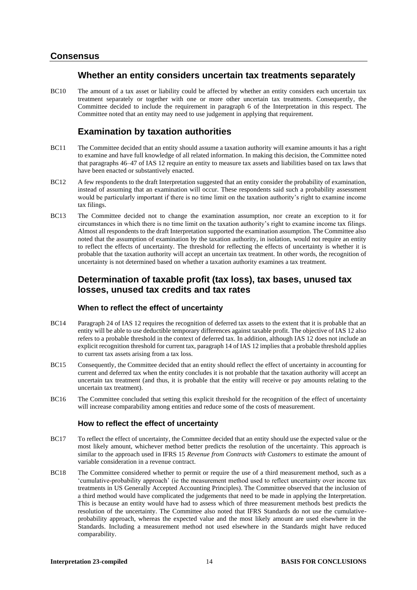#### **Consensus**

#### **Whether an entity considers uncertain tax treatments separately**

BC10 The amount of a tax asset or liability could be affected by whether an entity considers each uncertain tax treatment separately or together with one or more other uncertain tax treatments. Consequently, the Committee decided to include the requirement in paragraph 6 of the Interpretation in this respect. The Committee noted that an entity may need to use judgement in applying that requirement.

#### **Examination by taxation authorities**

- BC11 The Committee decided that an entity should assume a taxation authority will examine amounts it has a right to examine and have full knowledge of all related information. In making this decision, the Committee noted that paragraphs 46–47 of IAS 12 require an entity to measure tax assets and liabilities based on tax laws that have been enacted or substantively enacted.
- BC12 A few respondents to the draft Interpretation suggested that an entity consider the probability of examination, instead of assuming that an examination will occur. These respondents said such a probability assessment would be particularly important if there is no time limit on the taxation authority's right to examine income tax filings.
- BC13 The Committee decided not to change the examination assumption, nor create an exception to it for circumstances in which there is no time limit on the taxation authority's right to examine income tax filings. Almost all respondents to the draft Interpretation supported the examination assumption. The Committee also noted that the assumption of examination by the taxation authority, in isolation, would not require an entity to reflect the effects of uncertainty. The threshold for reflecting the effects of uncertainty is whether it is probable that the taxation authority will accept an uncertain tax treatment. In other words, the recognition of uncertainty is not determined based on whether a taxation authority examines a tax treatment.

#### **Determination of taxable profit (tax loss), tax bases, unused tax losses, unused tax credits and tax rates**

#### **When to reflect the effect of uncertainty**

- BC14 Paragraph 24 of IAS 12 requires the recognition of deferred tax assets to the extent that it is probable that an entity will be able to use deductible temporary differences against taxable profit. The objective of IAS 12 also refers to a probable threshold in the context of deferred tax. In addition, although IAS 12 does not include an explicit recognition threshold for current tax, paragraph 14 of IAS 12 implies that a probable threshold applies to current tax assets arising from a tax loss.
- BC15 Consequently, the Committee decided that an entity should reflect the effect of uncertainty in accounting for current and deferred tax when the entity concludes it is not probable that the taxation authority will accept an uncertain tax treatment (and thus, it is probable that the entity will receive or pay amounts relating to the uncertain tax treatment).
- BC16 The Committee concluded that setting this explicit threshold for the recognition of the effect of uncertainty will increase comparability among entities and reduce some of the costs of measurement.

#### **How to reflect the effect of uncertainty**

- BC17 To reflect the effect of uncertainty, the Committee decided that an entity should use the expected value or the most likely amount, whichever method better predicts the resolution of the uncertainty. This approach is similar to the approach used in IFRS 15 *Revenue from Contracts with Customers* to estimate the amount of variable consideration in a revenue contract.
- BC18 The Committee considered whether to permit or require the use of a third measurement method, such as a 'cumulative-probability approach' (ie the measurement method used to reflect uncertainty over income tax treatments in US Generally Accepted Accounting Principles). The Committee observed that the inclusion of a third method would have complicated the judgements that need to be made in applying the Interpretation. This is because an entity would have had to assess which of three measurement methods best predicts the resolution of the uncertainty. The Committee also noted that IFRS Standards do not use the cumulativeprobability approach, whereas the expected value and the most likely amount are used elsewhere in the Standards. Including a measurement method not used elsewhere in the Standards might have reduced comparability.